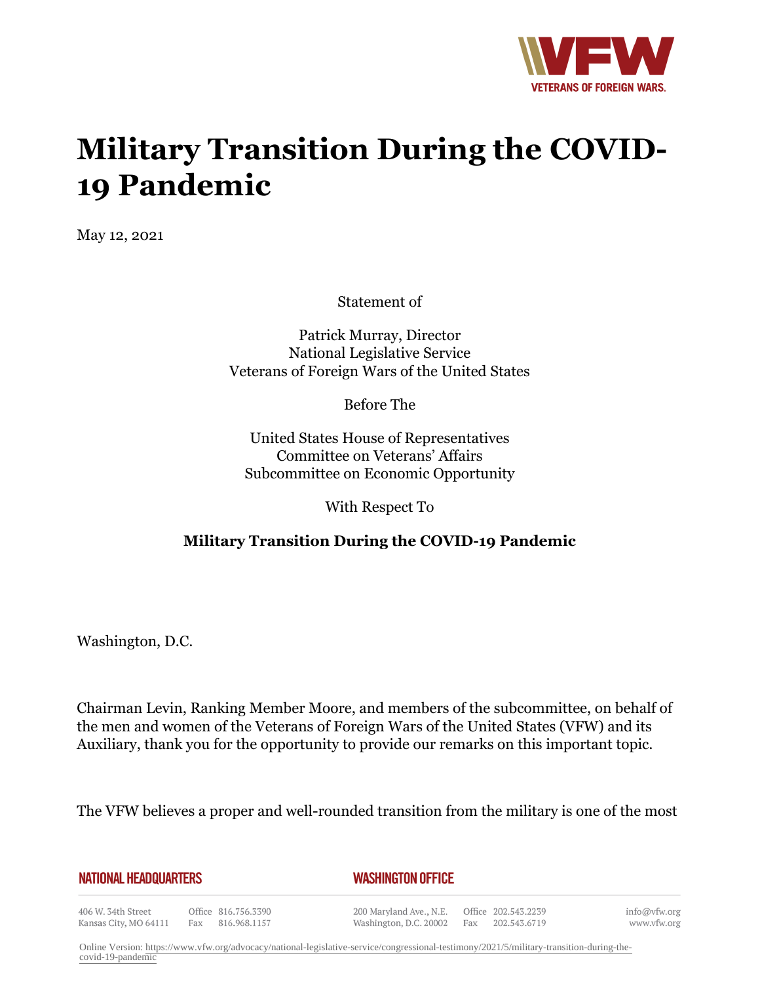

## **Military Transition During the COVID-19 Pandemic**

May 12, 2021

Statement of

Patrick Murray, Director National Legislative Service Veterans of Foreign Wars of the United States

Before The

United States House of Representatives Committee on Veterans' Affairs Subcommittee on Economic Opportunity

With Respect To

## **Military Transition During the COVID-19 Pandemic**

Washington, D.C.

Chairman Levin, Ranking Member Moore, and members of the subcommittee, on behalf of the men and women of the Veterans of Foreign Wars of the United States (VFW) and its Auxiliary, thank you for the opportunity to provide our remarks on this important topic.

The VFW believes a proper and well-rounded transition from the military is one of the most

**NATIONAL HEADQUARTERS** 

*WASHINGTON OFFICE* 

406 W. 34th Street Kansas City, MO 64111 Fax 816.968.1157

Office 816.756.3390

200 Maryland Ave., N.E. Washington, D.C. 20002

Office 202.543.2239 Fax 202.543.6719 info@vfw.org www.vfw.org

Online Version: [https://www.vfw.org/advocacy/national-legislative-service/congressional-testimony/2021/5/military-transition-during-the](https://www.vfw.org/advocacy/national-legislative-service/congressional-testimony/2021/5/military-transition-during-the-covid-19-pandemic)[covid-19-pandemic](https://www.vfw.org/advocacy/national-legislative-service/congressional-testimony/2021/5/military-transition-during-the-covid-19-pandemic)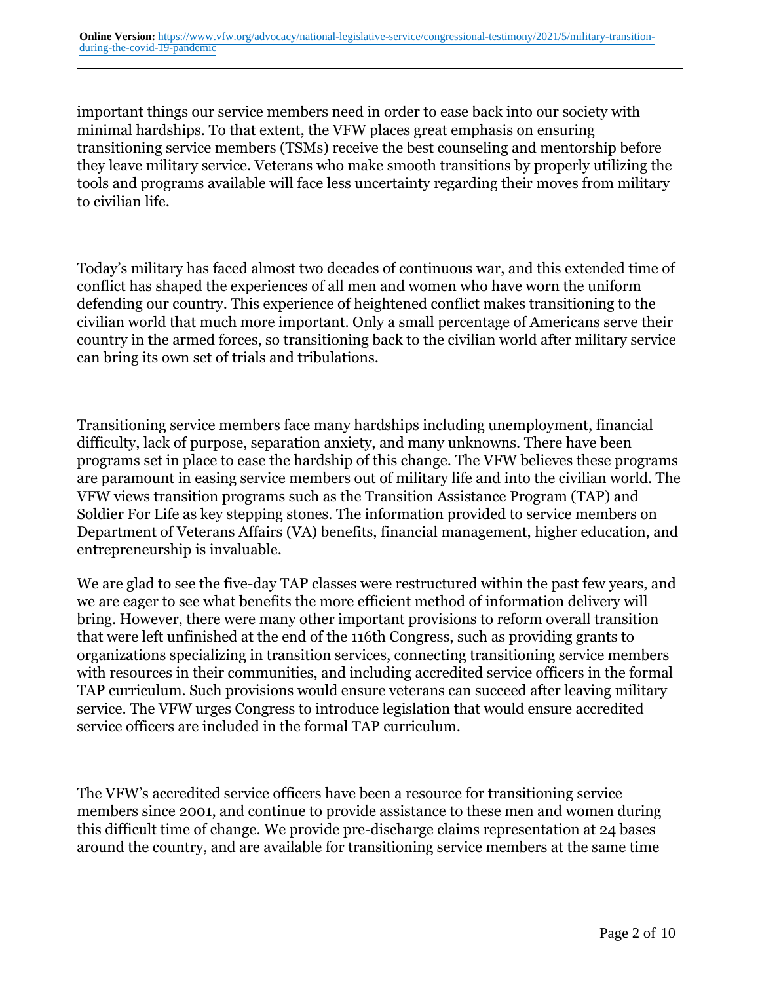important things our service members need in order to ease back into our society with minimal hardships. To that extent, the VFW places great emphasis on ensuring transitioning service members (TSMs) receive the best counseling and mentorship before they leave military service. Veterans who make smooth transitions by properly utilizing the tools and programs available will face less uncertainty regarding their moves from military to civilian life.

Today's military has faced almost two decades of continuous war, and this extended time of conflict has shaped the experiences of all men and women who have worn the uniform defending our country. This experience of heightened conflict makes transitioning to the civilian world that much more important. Only a small percentage of Americans serve their country in the armed forces, so transitioning back to the civilian world after military service can bring its own set of trials and tribulations.

Transitioning service members face many hardships including unemployment, financial difficulty, lack of purpose, separation anxiety, and many unknowns. There have been programs set in place to ease the hardship of this change. The VFW believes these programs are paramount in easing service members out of military life and into the civilian world. The VFW views transition programs such as the Transition Assistance Program (TAP) and Soldier For Life as key stepping stones. The information provided to service members on Department of Veterans Affairs (VA) benefits, financial management, higher education, and entrepreneurship is invaluable.

We are glad to see the five-day TAP classes were restructured within the past few years, and we are eager to see what benefits the more efficient method of information delivery will bring. However, there were many other important provisions to reform overall transition that were left unfinished at the end of the 116th Congress, such as providing grants to organizations specializing in transition services, connecting transitioning service members with resources in their communities, and including accredited service officers in the formal TAP curriculum. Such provisions would ensure veterans can succeed after leaving military service. The VFW urges Congress to introduce legislation that would ensure accredited service officers are included in the formal TAP curriculum.

The VFW's accredited service officers have been a resource for transitioning service members since 2001, and continue to provide assistance to these men and women during this difficult time of change. We provide pre-discharge claims representation at 24 bases around the country, and are available for transitioning service members at the same time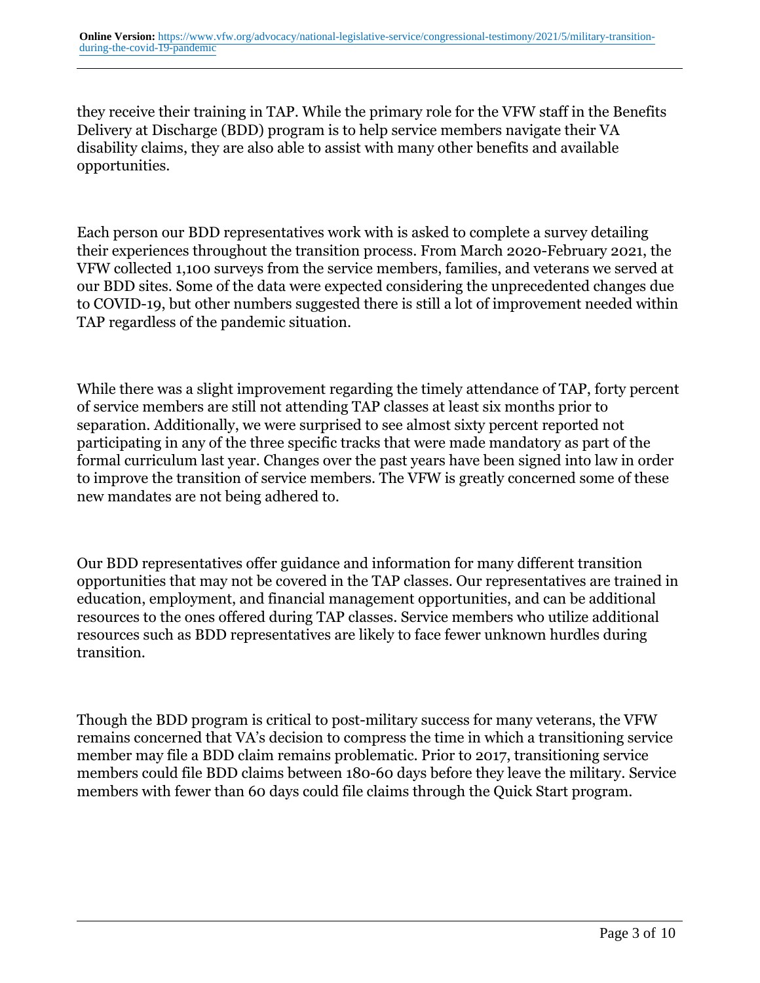they receive their training in TAP. While the primary role for the VFW staff in the Benefits Delivery at Discharge (BDD) program is to help service members navigate their VA disability claims, they are also able to assist with many other benefits and available opportunities.

Each person our BDD representatives work with is asked to complete a survey detailing their experiences throughout the transition process. From March 2020-February 2021, the VFW collected 1,100 surveys from the service members, families, and veterans we served at our BDD sites. Some of the data were expected considering the unprecedented changes due to COVID-19, but other numbers suggested there is still a lot of improvement needed within TAP regardless of the pandemic situation.

While there was a slight improvement regarding the timely attendance of TAP, forty percent of service members are still not attending TAP classes at least six months prior to separation. Additionally, we were surprised to see almost sixty percent reported not participating in any of the three specific tracks that were made mandatory as part of the formal curriculum last year. Changes over the past years have been signed into law in order to improve the transition of service members. The VFW is greatly concerned some of these new mandates are not being adhered to.

Our BDD representatives offer guidance and information for many different transition opportunities that may not be covered in the TAP classes. Our representatives are trained in education, employment, and financial management opportunities, and can be additional resources to the ones offered during TAP classes. Service members who utilize additional resources such as BDD representatives are likely to face fewer unknown hurdles during transition.

Though the BDD program is critical to post-military success for many veterans, the VFW remains concerned that VA's decision to compress the time in which a transitioning service member may file a BDD claim remains problematic. Prior to 2017, transitioning service members could file BDD claims between 180-60 days before they leave the military. Service members with fewer than 60 days could file claims through the Quick Start program.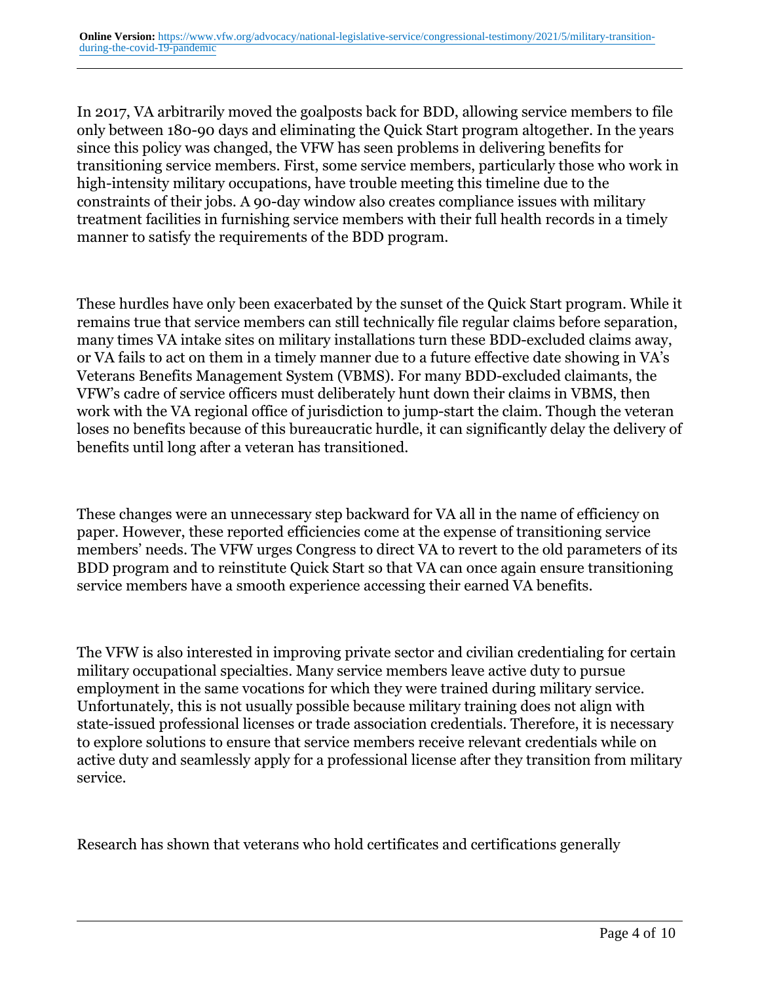In 2017, VA arbitrarily moved the goalposts back for BDD, allowing service members to file only between 180-90 days and eliminating the Quick Start program altogether. In the years since this policy was changed, the VFW has seen problems in delivering benefits for transitioning service members. First, some service members, particularly those who work in high-intensity military occupations, have trouble meeting this timeline due to the constraints of their jobs. A 90-day window also creates compliance issues with military treatment facilities in furnishing service members with their full health records in a timely manner to satisfy the requirements of the BDD program.

These hurdles have only been exacerbated by the sunset of the Quick Start program. While it remains true that service members can still technically file regular claims before separation, many times VA intake sites on military installations turn these BDD-excluded claims away, or VA fails to act on them in a timely manner due to a future effective date showing in VA's Veterans Benefits Management System (VBMS). For many BDD-excluded claimants, the VFW's cadre of service officers must deliberately hunt down their claims in VBMS, then work with the VA regional office of jurisdiction to jump-start the claim. Though the veteran loses no benefits because of this bureaucratic hurdle, it can significantly delay the delivery of benefits until long after a veteran has transitioned.

These changes were an unnecessary step backward for VA all in the name of efficiency on paper. However, these reported efficiencies come at the expense of transitioning service members' needs. The VFW urges Congress to direct VA to revert to the old parameters of its BDD program and to reinstitute Quick Start so that VA can once again ensure transitioning service members have a smooth experience accessing their earned VA benefits.

The VFW is also interested in improving private sector and civilian credentialing for certain military occupational specialties. Many service members leave active duty to pursue employment in the same vocations for which they were trained during military service. Unfortunately, this is not usually possible because military training does not align with state-issued professional licenses or trade association credentials. Therefore, it is necessary to explore solutions to ensure that service members receive relevant credentials while on active duty and seamlessly apply for a professional license after they transition from military service.

Research has shown that veterans who hold certificates and certifications generally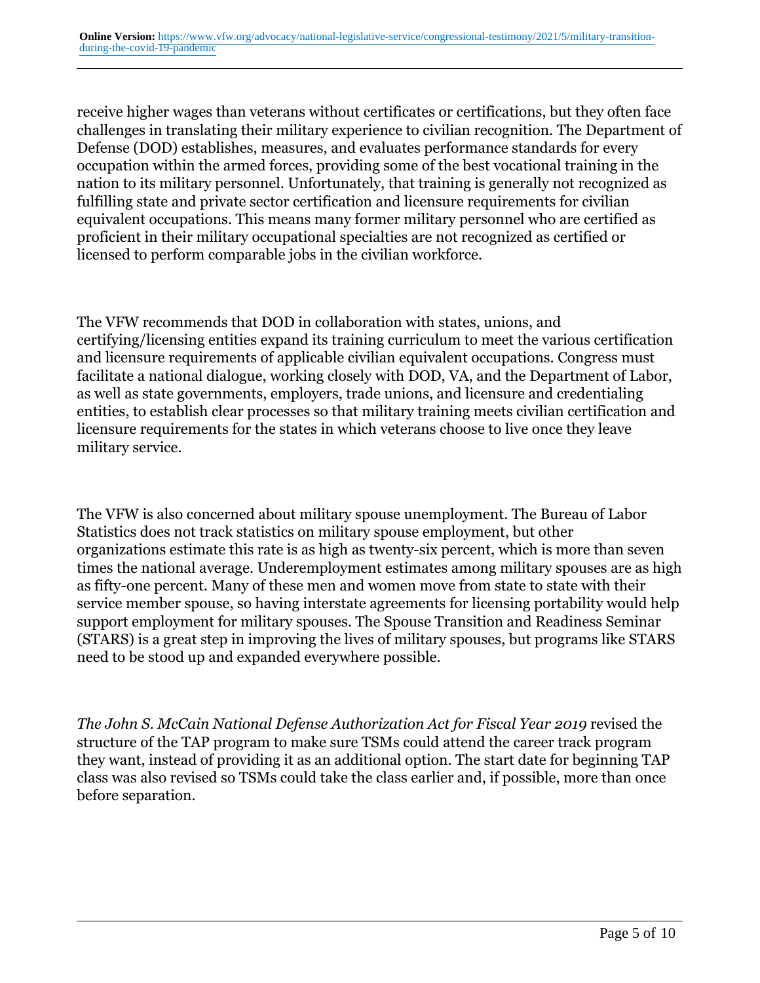receive higher wages than veterans without certificates or certifications, but they often face challenges in translating their military experience to civilian recognition. The Department of Defense (DOD) establishes, measures, and evaluates performance standards for every occupation within the armed forces, providing some of the best vocational training in the nation to its military personnel. Unfortunately, that training is generally not recognized as fulfilling state and private sector certification and licensure requirements for civilian equivalent occupations. This means many former military personnel who are certified as proficient in their military occupational specialties are not recognized as certified or licensed to perform comparable jobs in the civilian workforce.

The VFW recommends that DOD in collaboration with states, unions, and certifying/licensing entities expand its training curriculum to meet the various certification and licensure requirements of applicable civilian equivalent occupations. Congress must facilitate a national dialogue, working closely with DOD, VA, and the Department of Labor, as well as state governments, employers, trade unions, and licensure and credentialing entities, to establish clear processes so that military training meets civilian certification and licensure requirements for the states in which veterans choose to live once they leave military service.

The VFW is also concerned about military spouse unemployment. The Bureau of Labor Statistics does not track statistics on military spouse employment, but other organizations estimate this rate is as high as twenty-six percent, which is more than seven times the national average. Underemployment estimates among military spouses are as high as fifty-one percent. Many of these men and women move from state to state with their service member spouse, so having interstate agreements for licensing portability would help support employment for military spouses. The Spouse Transition and Readiness Seminar (STARS) is a great step in improving the lives of military spouses, but programs like STARS need to be stood up and expanded everywhere possible.

*The John S. McCain National Defense Authorization Act for Fiscal Year 2019* revised the structure of the TAP program to make sure TSMs could attend the career track program they want, instead of providing it as an additional option. The start date for beginning TAP class was also revised so TSMs could take the class earlier and, if possible, more than once before separation.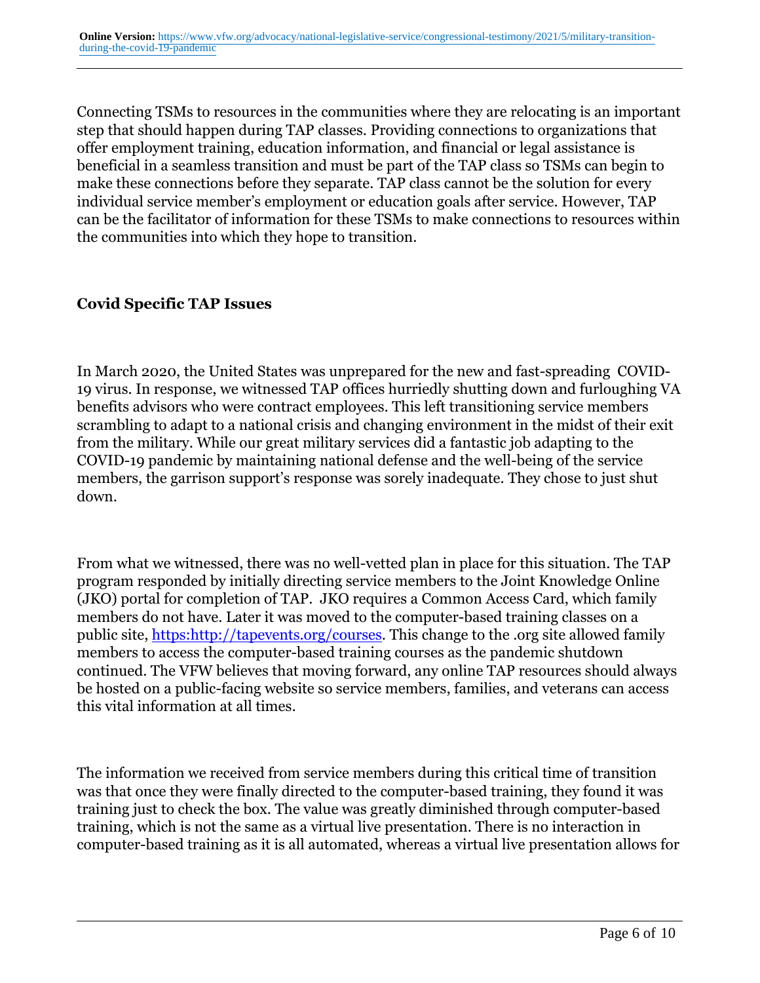Connecting TSMs to resources in the communities where they are relocating is an important step that should happen during TAP classes. Providing connections to organizations that offer employment training, education information, and financial or legal assistance is beneficial in a seamless transition and must be part of the TAP class so TSMs can begin to make these connections before they separate. TAP class cannot be the solution for every individual service member's employment or education goals after service. However, TAP can be the facilitator of information for these TSMs to make connections to resources within the communities into which they hope to transition.

## **Covid Specific TAP Issues**

In March 2020, the United States was unprepared for the new and fast-spreading COVID-19 virus. In response, we witnessed TAP offices hurriedly shutting down and furloughing VA benefits advisors who were contract employees. This left transitioning service members scrambling to adapt to a national crisis and changing environment in the midst of their exit from the military. While our great military services did a fantastic job adapting to the COVID-19 pandemic by maintaining national defense and the well-being of the service members, the garrison support's response was sorely inadequate. They chose to just shut down.

From what we witnessed, there was no well-vetted plan in place for this situation. The TAP program responded by initially directing service members to the Joint Knowledge Online (JKO) portal for completion of TAP. JKO requires a Common Access Card, which family members do not have. Later it was moved to the computer-based training classes on a public site, [https:http://tapevents.org/courses.](https:http://tapevents.org/courses) This change to the .org site allowed family members to access the computer-based training courses as the pandemic shutdown continued. The VFW believes that moving forward, any online TAP resources should always be hosted on a public-facing website so service members, families, and veterans can access this vital information at all times.

The information we received from service members during this critical time of transition was that once they were finally directed to the computer-based training, they found it was training just to check the box. The value was greatly diminished through computer-based training, which is not the same as a virtual live presentation. There is no interaction in computer-based training as it is all automated, whereas a virtual live presentation allows for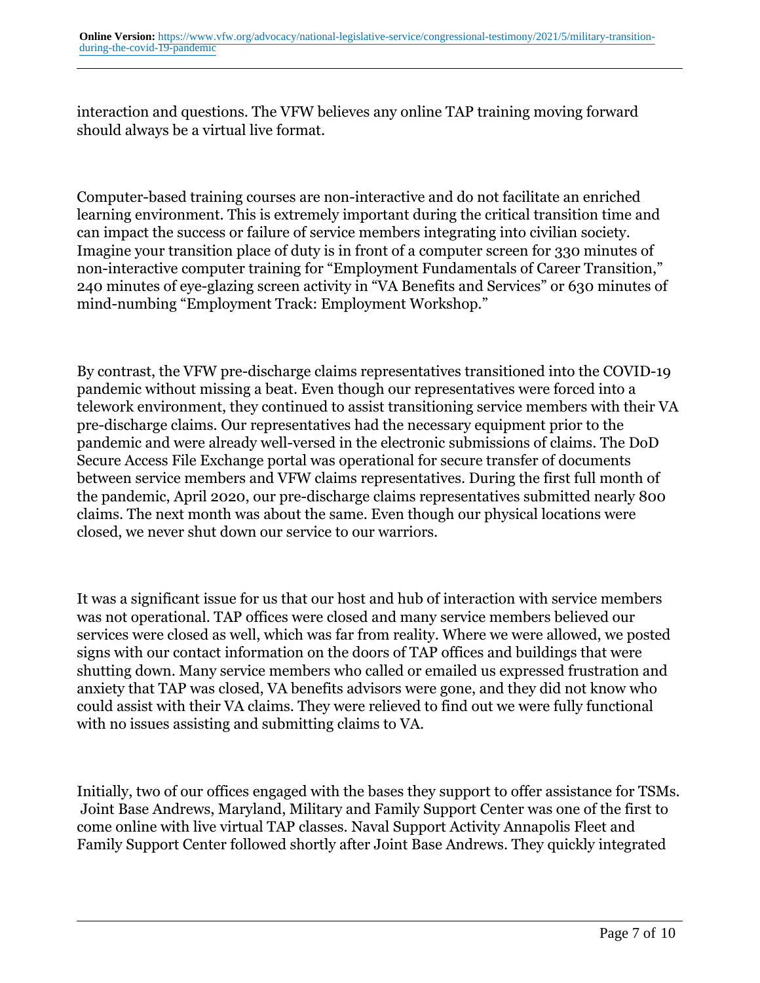interaction and questions. The VFW believes any online TAP training moving forward should always be a virtual live format.

Computer-based training courses are non-interactive and do not facilitate an enriched learning environment. This is extremely important during the critical transition time and can impact the success or failure of service members integrating into civilian society. Imagine your transition place of duty is in front of a computer screen for 330 minutes of non-interactive computer training for "Employment Fundamentals of Career Transition," 240 minutes of eye-glazing screen activity in "VA Benefits and Services" or 630 minutes of mind-numbing "Employment Track: Employment Workshop."

By contrast, the VFW pre-discharge claims representatives transitioned into the COVID-19 pandemic without missing a beat. Even though our representatives were forced into a telework environment, they continued to assist transitioning service members with their VA pre-discharge claims. Our representatives had the necessary equipment prior to the pandemic and were already well-versed in the electronic submissions of claims. The DoD Secure Access File Exchange portal was operational for secure transfer of documents between service members and VFW claims representatives. During the first full month of the pandemic, April 2020, our pre-discharge claims representatives submitted nearly 800 claims. The next month was about the same. Even though our physical locations were closed, we never shut down our service to our warriors.

It was a significant issue for us that our host and hub of interaction with service members was not operational. TAP offices were closed and many service members believed our services were closed as well, which was far from reality. Where we were allowed, we posted signs with our contact information on the doors of TAP offices and buildings that were shutting down. Many service members who called or emailed us expressed frustration and anxiety that TAP was closed, VA benefits advisors were gone, and they did not know who could assist with their VA claims. They were relieved to find out we were fully functional with no issues assisting and submitting claims to VA.

Initially, two of our offices engaged with the bases they support to offer assistance for TSMs. Joint Base Andrews, Maryland, Military and Family Support Center was one of the first to come online with live virtual TAP classes. Naval Support Activity Annapolis Fleet and Family Support Center followed shortly after Joint Base Andrews. They quickly integrated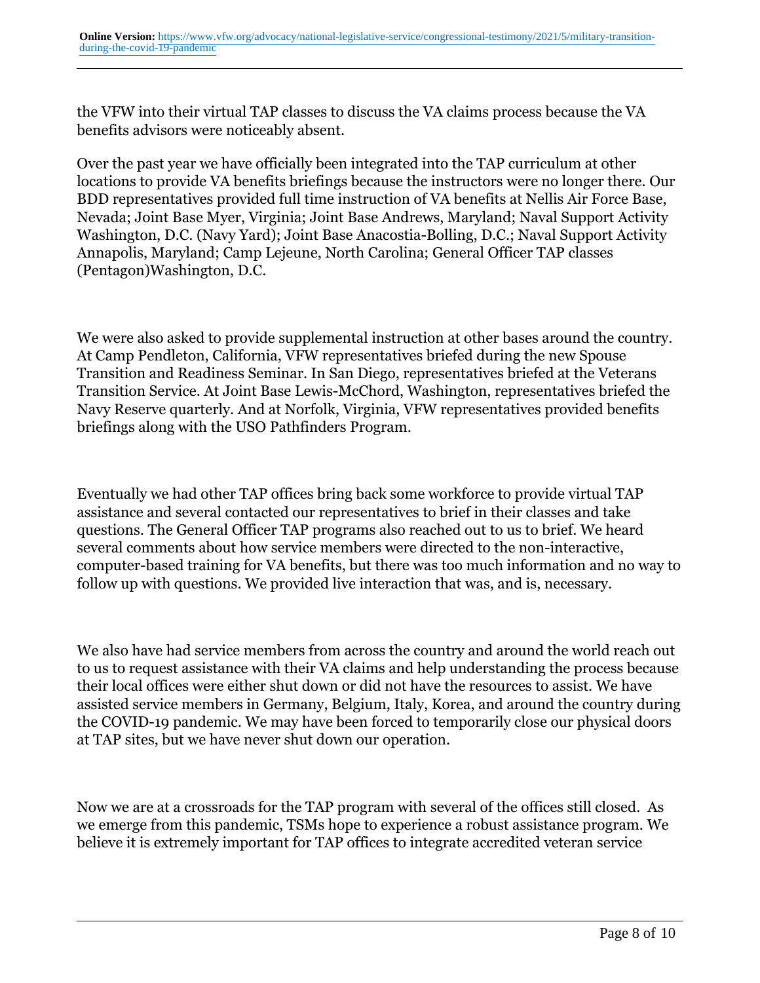the VFW into their virtual TAP classes to discuss the VA claims process because the VA benefits advisors were noticeably absent.

Over the past year we have officially been integrated into the TAP curriculum at other locations to provide VA benefits briefings because the instructors were no longer there. Our BDD representatives provided full time instruction of VA benefits at Nellis Air Force Base, Nevada; Joint Base Myer, Virginia; Joint Base Andrews, Maryland; Naval Support Activity Washington, D.C. (Navy Yard); Joint Base Anacostia-Bolling, D.C.; Naval Support Activity Annapolis, Maryland; Camp Lejeune, North Carolina; General Officer TAP classes (Pentagon)Washington, D.C.

We were also asked to provide supplemental instruction at other bases around the country. At Camp Pendleton, California, VFW representatives briefed during the new Spouse Transition and Readiness Seminar. In San Diego, representatives briefed at the Veterans Transition Service. At Joint Base Lewis-McChord, Washington, representatives briefed the Navy Reserve quarterly. And at Norfolk, Virginia, VFW representatives provided benefits briefings along with the USO Pathfinders Program.

Eventually we had other TAP offices bring back some workforce to provide virtual TAP assistance and several contacted our representatives to brief in their classes and take questions. The General Officer TAP programs also reached out to us to brief. We heard several comments about how service members were directed to the non-interactive, computer-based training for VA benefits, but there was too much information and no way to follow up with questions. We provided live interaction that was, and is, necessary.

We also have had service members from across the country and around the world reach out to us to request assistance with their VA claims and help understanding the process because their local offices were either shut down or did not have the resources to assist. We have assisted service members in Germany, Belgium, Italy, Korea, and around the country during the COVID-19 pandemic. We may have been forced to temporarily close our physical doors at TAP sites, but we have never shut down our operation.

Now we are at a crossroads for the TAP program with several of the offices still closed. As we emerge from this pandemic, TSMs hope to experience a robust assistance program. We believe it is extremely important for TAP offices to integrate accredited veteran service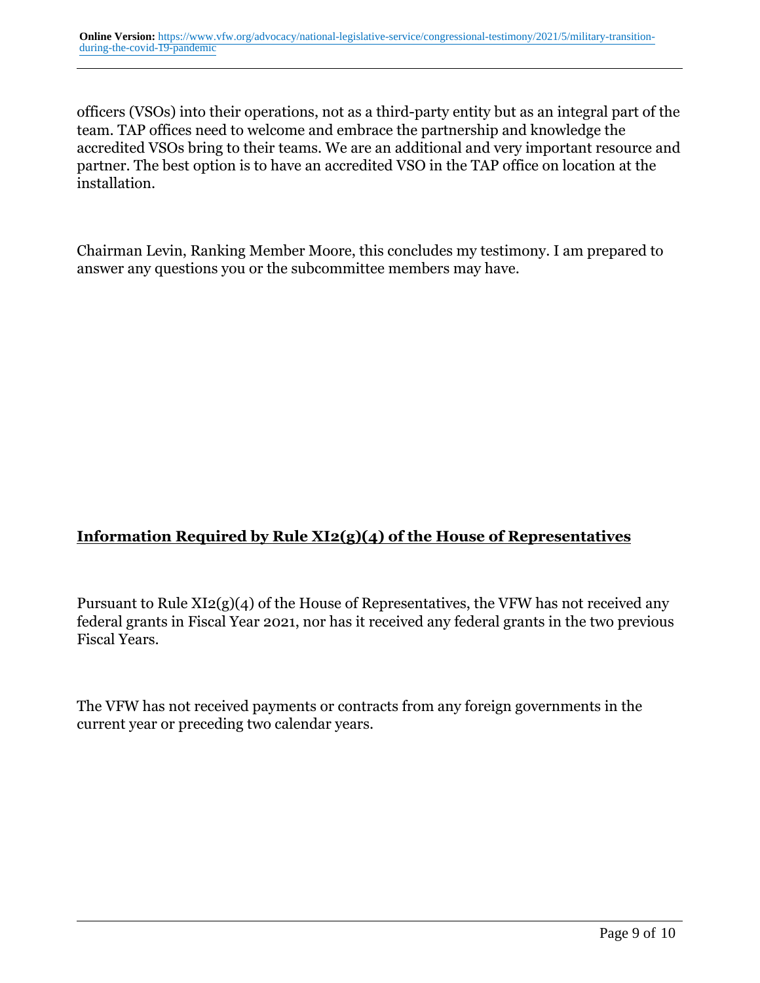officers (VSOs) into their operations, not as a third-party entity but as an integral part of the team. TAP offices need to welcome and embrace the partnership and knowledge the accredited VSOs bring to their teams. We are an additional and very important resource and partner. The best option is to have an accredited VSO in the TAP office on location at the installation.

Chairman Levin, Ranking Member Moore, this concludes my testimony. I am prepared to answer any questions you or the subcommittee members may have.

## **Information Required by Rule XI2(g)(4) of the House of Representatives**

Pursuant to Rule XI2(g)(4) of the House of Representatives, the VFW has not received any federal grants in Fiscal Year 2021, nor has it received any federal grants in the two previous Fiscal Years.

The VFW has not received payments or contracts from any foreign governments in the current year or preceding two calendar years.